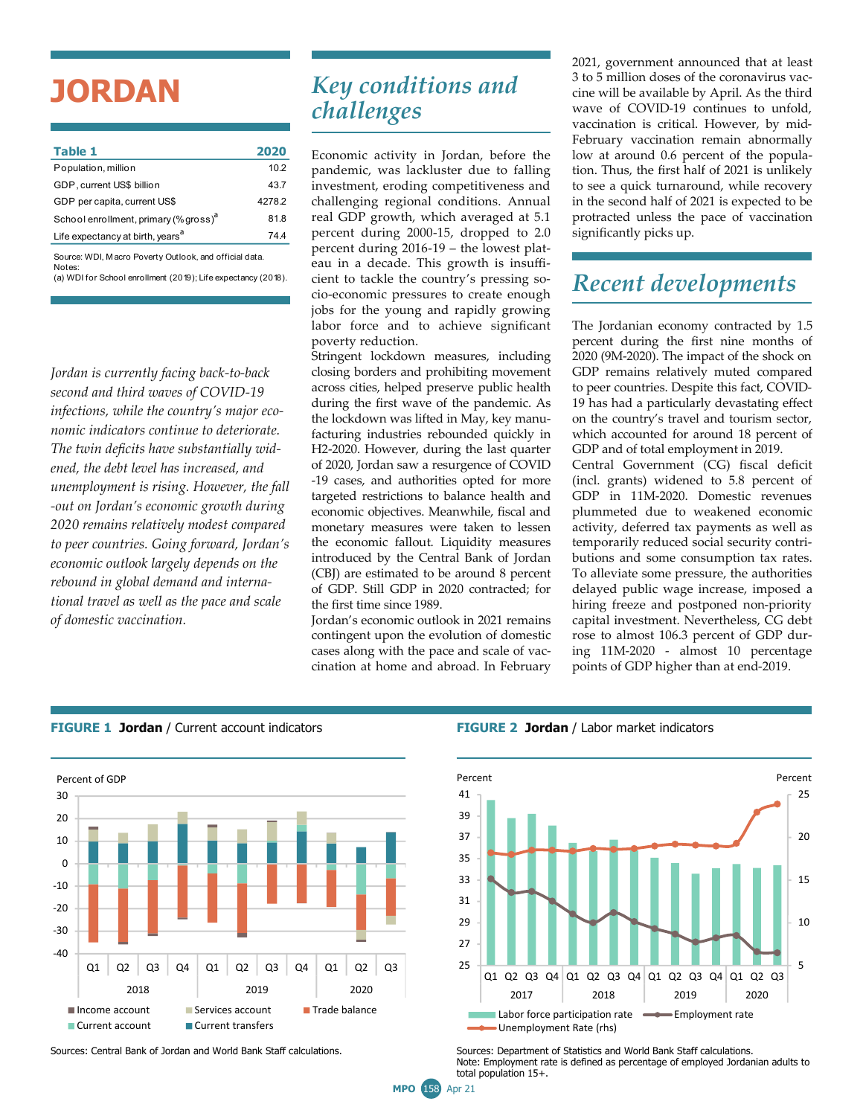# **JORDAN**

| Table 1                                                | 2020   |  |  |  |
|--------------------------------------------------------|--------|--|--|--|
| Population, million                                    | 10.2   |  |  |  |
| GDP, current US\$ billion                              | 43.7   |  |  |  |
| GDP per capita, current US\$                           | 4278.2 |  |  |  |
| School enrollment, primary (% gross) <sup>a</sup>      | 81.8   |  |  |  |
| Life expectancy at birth, years <sup>a</sup>           | 744    |  |  |  |
| Source: WDI, Macro Poverty Outlook, and official data. |        |  |  |  |

(a) WDI for School enrollment (2019); Life expectancy (2018). **Notes** 

*Jordan is currently facing back-to-back second and third waves of COVID-19 infections, while the country's major economic indicators continue to deteriorate. The twin deficits have substantially widened, the debt level has increased, and unemployment is rising. However, the fall -out on Jordan's economic growth during 2020 remains relatively modest compared to peer countries. Going forward, Jordan's economic outlook largely depends on the rebound in global demand and international travel as well as the pace and scale of domestic vaccination.* 

## *Key conditions and challenges*

Economic activity in Jordan, before the pandemic, was lackluster due to falling investment, eroding competitiveness and challenging regional conditions. Annual real GDP growth, which averaged at 5.1 percent during 2000-15, dropped to 2.0 percent during 2016-19 – the lowest plateau in a decade. This growth is insufficient to tackle the country's pressing socio-economic pressures to create enough jobs for the young and rapidly growing labor force and to achieve significant poverty reduction.

Stringent lockdown measures, including closing borders and prohibiting movement across cities, helped preserve public health during the first wave of the pandemic. As the lockdown was lifted in May, key manufacturing industries rebounded quickly in H2-2020. However, during the last quarter of 2020, Jordan saw a resurgence of COVID -19 cases, and authorities opted for more targeted restrictions to balance health and economic objectives. Meanwhile, fiscal and monetary measures were taken to lessen the economic fallout. Liquidity measures introduced by the Central Bank of Jordan (CBJ) are estimated to be around 8 percent of GDP. Still GDP in 2020 contracted; for the first time since 1989.

Jordan's economic outlook in 2021 remains contingent upon the evolution of domestic cases along with the pace and scale of vaccination at home and abroad. In February

2021, government announced that at least 3 to 5 million doses of the coronavirus vaccine will be available by April. As the third wave of COVID-19 continues to unfold, vaccination is critical. However, by mid-February vaccination remain abnormally low at around 0.6 percent of the population. Thus, the first half of 2021 is unlikely to see a quick turnaround, while recovery in the second half of 2021 is expected to be protracted unless the pace of vaccination significantly picks up.

### *Recent developments*

The Jordanian economy contracted by 1.5 percent during the first nine months of 2020 (9M-2020). The impact of the shock on GDP remains relatively muted compared to peer countries. Despite this fact, COVID-19 has had a particularly devastating effect on the country's travel and tourism sector, which accounted for around 18 percent of GDP and of total employment in 2019. Central Government (CG) fiscal deficit (incl. grants) widened to 5.8 percent of GDP in 11M-2020. Domestic revenues plummeted due to weakened economic activity, deferred tax payments as well as temporarily reduced social security contributions and some consumption tax rates. To alleviate some pressure, the authorities delayed public wage increase, imposed a hiring freeze and postponed non-priority capital investment. Nevertheless, CG debt rose to almost 106.3 percent of GDP during 11M-2020 - almost 10 percentage points of GDP higher than at end-2019.



#### **FIGURE 1 Jordan** / Current account indicators **FIGURE 2 Jordan** / Labor market indicators





Sources: Central Bank of Jordan and World Bank Staff calculations. Sources: Department of Statistics and World Bank Staff calculations. Note: Employment rate is defined as percentage of employed Jordanian adults to total population 15+.